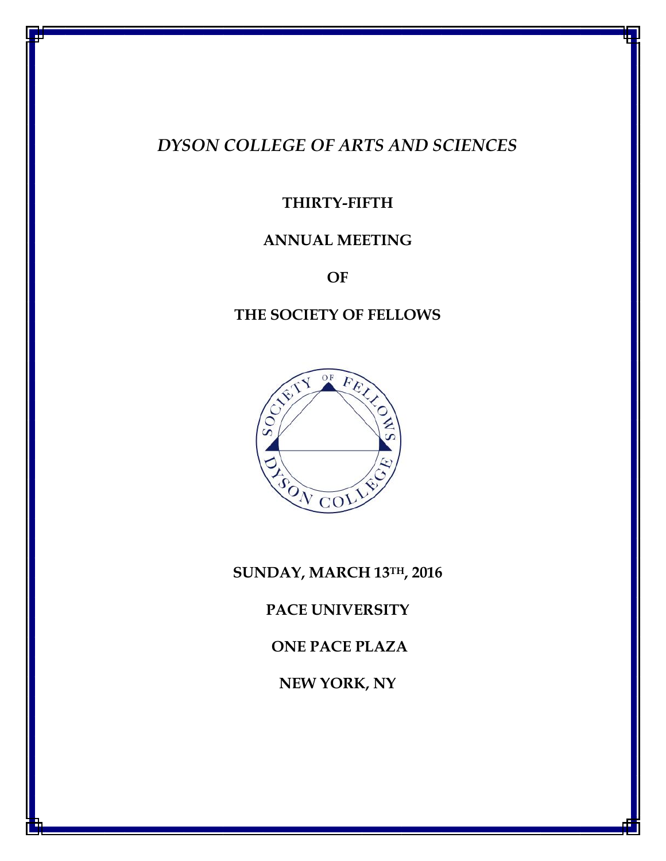# *DYSON COLLEGE OF ARTS AND SCIENCES*

# **THIRTY-FIFTH**

# **ANNUAL MEETING**

**OF**

# **THE SOCIETY OF FELLOWS**



**SUNDAY, MARCH 13TH, 2016**

**PACE UNIVERSITY** 

**ONE PACE PLAZA**

**NEW YORK, NY**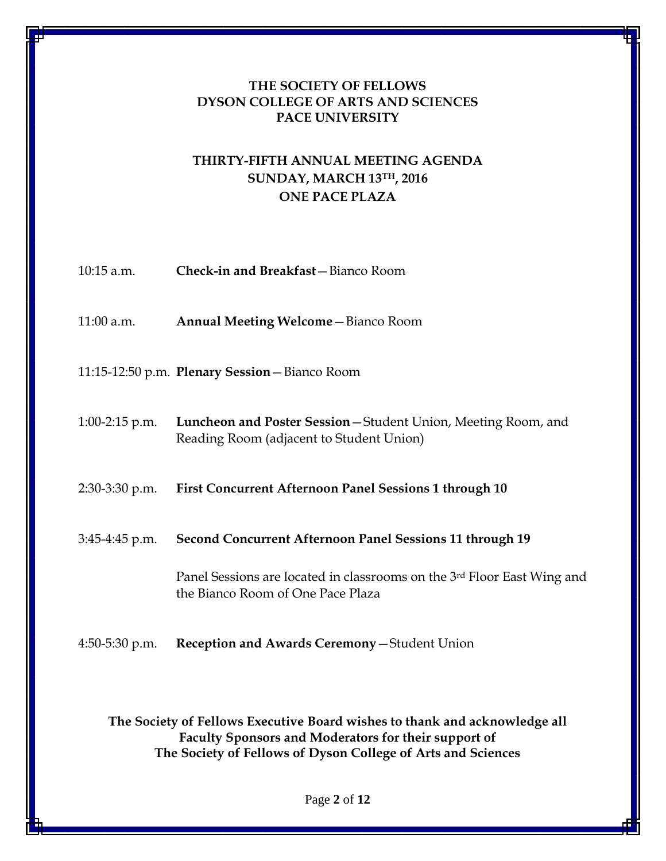### **THE SOCIETY OF FELLOWS DYSON COLLEGE OF ARTS AND SCIENCES PACE UNIVERSITY**

# **THIRTY-FIFTH ANNUAL MEETING AGENDA SUNDAY, MARCH 13TH, 2016 ONE PACE PLAZA**

| $10:15$ a.m.     | Check-in and Breakfast-Bianco Room                                                                           |
|------------------|--------------------------------------------------------------------------------------------------------------|
| 11:00 a.m.       | <b>Annual Meeting Welcome - Bianco Room</b>                                                                  |
|                  | 11:15-12:50 p.m. Plenary Session - Bianco Room                                                               |
| $1:00-2:15$ p.m. | Luncheon and Poster Session - Student Union, Meeting Room, and<br>Reading Room (adjacent to Student Union)   |
| 2:30-3:30 p.m.   | <b>First Concurrent Afternoon Panel Sessions 1 through 10</b>                                                |
| $3:45-4:45$ p.m. | <b>Second Concurrent Afternoon Panel Sessions 11 through 19</b>                                              |
|                  | Panel Sessions are located in classrooms on the 3rd Floor East Wing and<br>the Bianco Room of One Pace Plaza |
| $4:50-5:30$ p.m. | Reception and Awards Ceremony-Student Union                                                                  |

**The Society of Fellows Executive Board wishes to thank and acknowledge all Faculty Sponsors and Moderators for their support of The Society of Fellows of Dyson College of Arts and Sciences**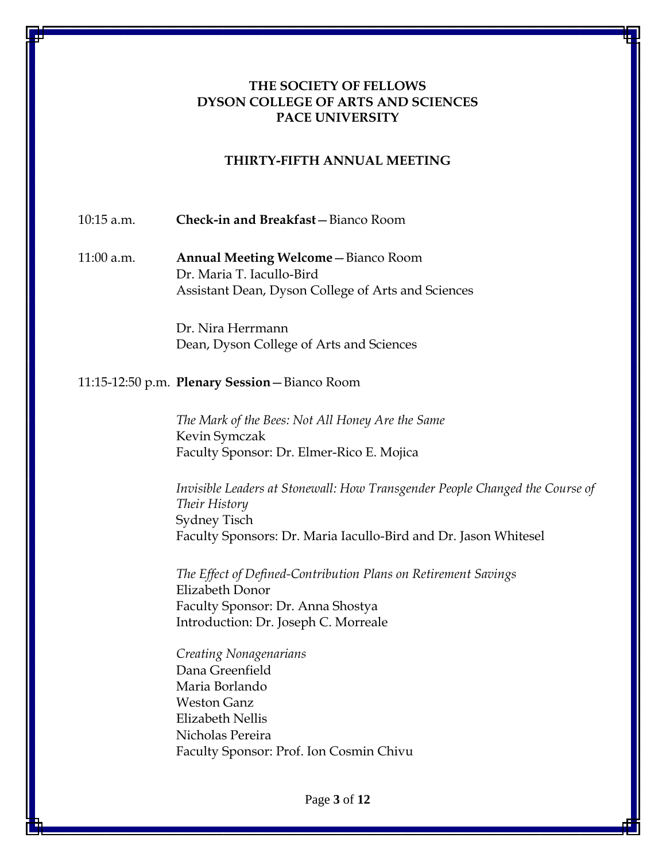### **THE SOCIETY OF FELLOWS DYSON COLLEGE OF ARTS AND SCIENCES PACE UNIVERSITY**

#### **THIRTY-FIFTH ANNUAL MEETING**

10:15 a.m. **Check-in and Breakfast**—Bianco Room

11:00 a.m. **Annual Meeting Welcome**—Bianco Room Dr. Maria T. Iacullo-Bird Assistant Dean, Dyson College of Arts and Sciences

> Dr. Nira Herrmann Dean, Dyson College of Arts and Sciences

#### 11:15-12:50 p.m. **Plenary Session**—Bianco Room

*The Mark of the Bees: Not All Honey Are the Same* Kevin Symczak Faculty Sponsor: Dr. Elmer-Rico E. Mojica

*Invisible Leaders at Stonewall: How Transgender People Changed the Course of Their History*  Sydney Tisch Faculty Sponsors: Dr. Maria Iacullo-Bird and Dr. Jason Whitesel

*The Effect of Defined-Contribution Plans on Retirement Savings* Elizabeth Donor Faculty Sponsor: Dr. Anna Shostya Introduction: Dr. Joseph C. Morreale

*Creating Nonagenarians* Dana Greenfield Maria Borlando Weston Ganz Elizabeth Nellis Nicholas Pereira Faculty Sponsor: Prof. Ion Cosmin Chivu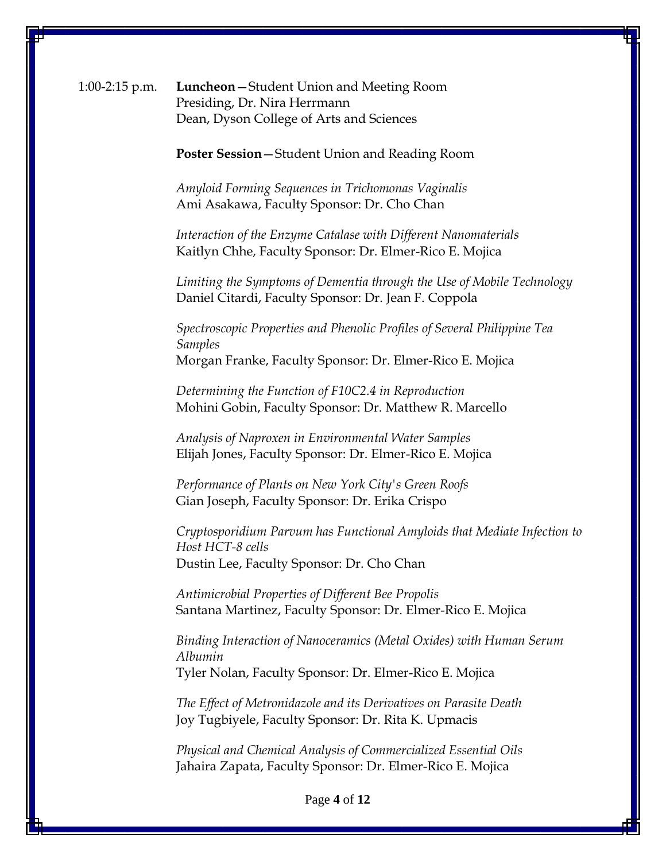1:00-2:15 p.m. **Luncheon**—Student Union and Meeting Room Presiding, Dr. Nira Herrmann Dean, Dyson College of Arts and Sciences

**Poster Session**—Student Union and Reading Room

*Amyloid Forming Sequences in Trichomonas Vaginalis* Ami Asakawa, Faculty Sponsor: Dr. Cho Chan

*Interaction of the Enzyme Catalase with Different Nanomaterials* Kaitlyn Chhe, Faculty Sponsor: Dr. Elmer-Rico E. Mojica

*Limiting the Symptoms of Dementia through the Use of Mobile Technology* Daniel Citardi, Faculty Sponsor: Dr. Jean F. Coppola

*Spectroscopic Properties and Phenolic Profiles of Several Philippine Tea Samples* Morgan Franke, Faculty Sponsor: Dr. Elmer-Rico E. Mojica

*Determining the Function of F10C2.4 in Reproduction* Mohini Gobin, Faculty Sponsor: Dr. Matthew R. Marcello

*Analysis of Naproxen in Environmental Water Samples* Elijah Jones, Faculty Sponsor: Dr. Elmer-Rico E. Mojica

*Performance of Plants on New York City's Green Roofs* Gian Joseph, Faculty Sponsor: Dr. Erika Crispo

*Cryptosporidium Parvum has Functional Amyloids that Mediate Infection to Host HCT-8 cells*  Dustin Lee, Faculty Sponsor: Dr. Cho Chan

*Antimicrobial Properties of Different Bee Propolis* Santana Martinez, Faculty Sponsor: Dr. Elmer-Rico E. Mojica

*Binding Interaction of Nanoceramics (Metal Oxides) with Human Serum Albumin* Tyler Nolan, Faculty Sponsor: Dr. Elmer-Rico E. Mojica

*The Effect of Metronidazole and its Derivatives on Parasite Death* Joy Tugbiyele, Faculty Sponsor: Dr. Rita K. Upmacis

*Physical and Chemical Analysis of Commercialized Essential Oils* Jahaira Zapata, Faculty Sponsor: Dr. Elmer-Rico E. Mojica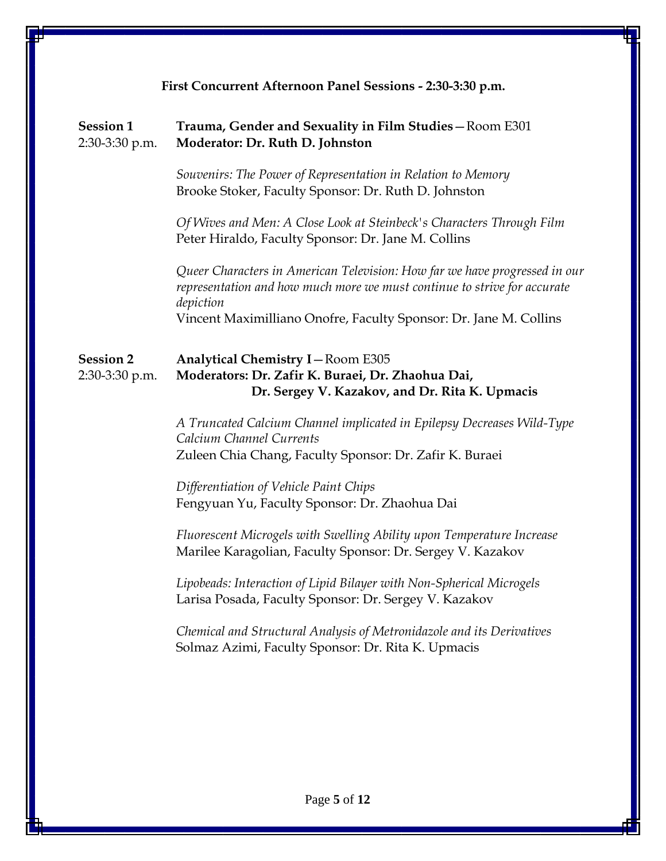| First Concurrent Afternoon Panel Sessions - 2:30-3:30 p.m. |                                                                                                                                                                     |
|------------------------------------------------------------|---------------------------------------------------------------------------------------------------------------------------------------------------------------------|
| <b>Session 1</b><br>2:30-3:30 p.m.                         | Trauma, Gender and Sexuality in Film Studies-Room E301<br>Moderator: Dr. Ruth D. Johnston                                                                           |
|                                                            | Souvenirs: The Power of Representation in Relation to Memory<br>Brooke Stoker, Faculty Sponsor: Dr. Ruth D. Johnston                                                |
|                                                            | Of Wives and Men: A Close Look at Steinbeck's Characters Through Film<br>Peter Hiraldo, Faculty Sponsor: Dr. Jane M. Collins                                        |
|                                                            | Queer Characters in American Television: How far we have progressed in our<br>representation and how much more we must continue to strive for accurate<br>depiction |
|                                                            | Vincent Maximilliano Onofre, Faculty Sponsor: Dr. Jane M. Collins                                                                                                   |
| <b>Session 2</b><br>2:30-3:30 p.m.                         | <b>Analytical Chemistry I-Room E305</b><br>Moderators: Dr. Zafir K. Buraei, Dr. Zhaohua Dai,<br>Dr. Sergey V. Kazakov, and Dr. Rita K. Upmacis                      |
|                                                            | A Truncated Calcium Channel implicated in Epilepsy Decreases Wild-Type<br>Calcium Channel Currents<br>Zuleen Chia Chang, Faculty Sponsor: Dr. Zafir K. Buraei       |
|                                                            | Differentiation of Vehicle Paint Chips<br>Fengyuan Yu, Faculty Sponsor: Dr. Zhaohua Dai                                                                             |
|                                                            | Fluorescent Microgels with Swelling Ability upon Temperature Increase<br>Marilee Karagolian, Faculty Sponsor: Dr. Sergey V. Kazakov                                 |
|                                                            | Lipobeads: Interaction of Lipid Bilayer with Non-Spherical Microgels<br>Larisa Posada, Faculty Sponsor: Dr. Sergey V. Kazakov                                       |
|                                                            | Chemical and Structural Analysis of Metronidazole and its Derivatives<br>Solmaz Azimi, Faculty Sponsor: Dr. Rita K. Upmacis                                         |
|                                                            |                                                                                                                                                                     |
|                                                            |                                                                                                                                                                     |
|                                                            |                                                                                                                                                                     |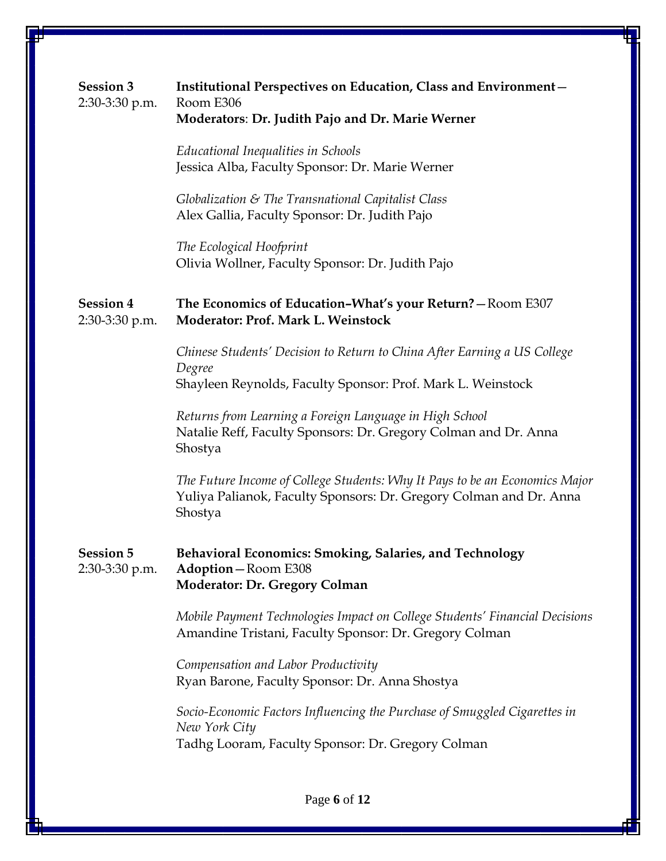| <b>Session 3</b><br>2:30-3:30 p.m. | Institutional Perspectives on Education, Class and Environment-<br>Room E306<br>Moderators: Dr. Judith Pajo and Dr. Marie Werner                             |
|------------------------------------|--------------------------------------------------------------------------------------------------------------------------------------------------------------|
|                                    | Educational Inequalities in Schools<br>Jessica Alba, Faculty Sponsor: Dr. Marie Werner                                                                       |
|                                    | Globalization & The Transnational Capitalist Class<br>Alex Gallia, Faculty Sponsor: Dr. Judith Pajo                                                          |
|                                    | The Ecological Hoofprint<br>Olivia Wollner, Faculty Sponsor: Dr. Judith Pajo                                                                                 |
| <b>Session 4</b><br>2:30-3:30 p.m. | The Economics of Education-What's your Return? - Room E307<br>Moderator: Prof. Mark L. Weinstock                                                             |
|                                    | Chinese Students' Decision to Return to China After Earning a US College<br>Degree<br>Shayleen Reynolds, Faculty Sponsor: Prof. Mark L. Weinstock            |
|                                    | Returns from Learning a Foreign Language in High School<br>Natalie Reff, Faculty Sponsors: Dr. Gregory Colman and Dr. Anna<br>Shostya                        |
|                                    | The Future Income of College Students: Why It Pays to be an Economics Major<br>Yuliya Palianok, Faculty Sponsors: Dr. Gregory Colman and Dr. Anna<br>Shostya |
| <b>Session 5</b><br>2:30-3:30 p.m. | Behavioral Economics: Smoking, Salaries, and Technology<br><b>Adoption</b> -Room E308<br><b>Moderator: Dr. Gregory Colman</b>                                |
|                                    | Mobile Payment Technologies Impact on College Students' Financial Decisions<br>Amandine Tristani, Faculty Sponsor: Dr. Gregory Colman                        |
|                                    | Compensation and Labor Productivity<br>Ryan Barone, Faculty Sponsor: Dr. Anna Shostya                                                                        |
|                                    | Socio-Economic Factors Influencing the Purchase of Smuggled Cigarettes in<br>New York City<br>Tadhg Looram, Faculty Sponsor: Dr. Gregory Colman              |
|                                    |                                                                                                                                                              |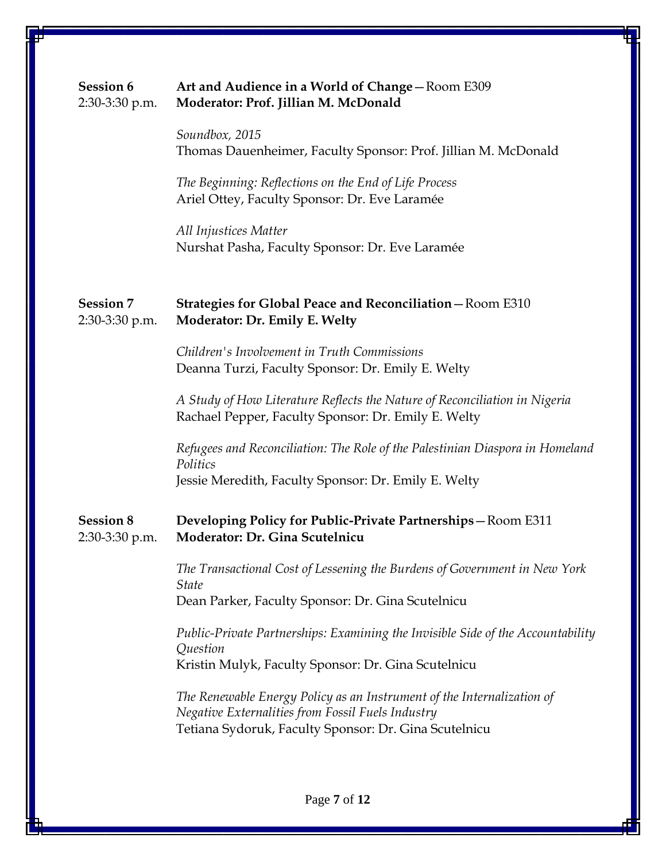# **Session 6 Art and Audience in a World of Change**—Room E309 2:30-3:30 p.m. **Moderator: Prof. Jillian M. McDonald**

*Soundbox, 2015* Thomas Dauenheimer, Faculty Sponsor: Prof. Jillian M. McDonald

 *The Beginning: Reflections on the End of Life Process*  Ariel Ottey, Faculty Sponsor: Dr. Eve Laramée

*All Injustices Matter* Nurshat Pasha, Faculty Sponsor: Dr. Eve Laramée

### **Session 7 Strategies for Global Peace and Reconciliation**—Room E310 2:30-3:30 p.m. **Moderator: Dr. Emily E. Welty**

*Children's Involvement in Truth Commissions* Deanna Turzi, Faculty Sponsor: Dr. Emily E. Welty

*A Study of How Literature Reflects the Nature of Reconciliation in Nigeria* Rachael Pepper, Faculty Sponsor: Dr. Emily E. Welty

*Refugees and Reconciliation: The Role of the Palestinian Diaspora in Homeland Politics*  Jessie Meredith, Faculty Sponsor: Dr. Emily E. Welty

# **Session 8 Developing Policy for Public-Private Partnerships**—Room E311 2:30-3:30 p.m. **Moderator: Dr. Gina Scutelnicu**

*The Transactional Cost of Lessening the Burdens of Government in New York State* Dean Parker, Faculty Sponsor: Dr. Gina Scutelnicu

*Public-Private Partnerships: Examining the Invisible Side of the Accountability Question* Kristin Mulyk, Faculty Sponsor: Dr. Gina Scutelnicu

*The Renewable Energy Policy as an Instrument of the Internalization of Negative Externalities from Fossil Fuels Industry* Tetiana Sydoruk, Faculty Sponsor: Dr. Gina Scutelnicu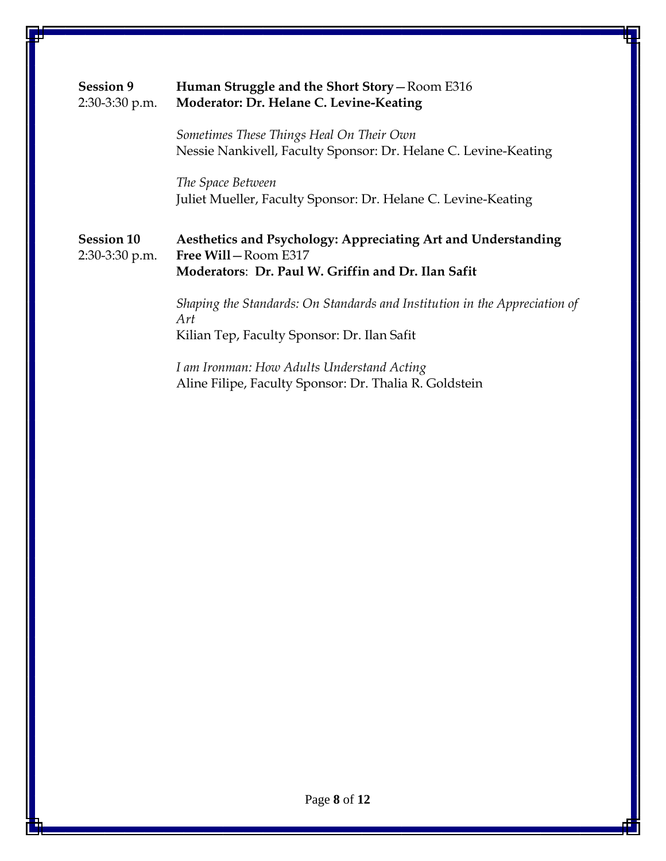| <b>Session 9</b><br>2:30-3:30 p.m.  | Human Struggle and the Short Story - Room E316<br>Moderator: Dr. Helane C. Levine-Keating                                                  |
|-------------------------------------|--------------------------------------------------------------------------------------------------------------------------------------------|
|                                     | Sometimes These Things Heal On Their Own<br>Nessie Nankivell, Faculty Sponsor: Dr. Helane C. Levine-Keating                                |
|                                     | The Space Between<br>Juliet Mueller, Faculty Sponsor: Dr. Helane C. Levine-Keating                                                         |
| <b>Session 10</b><br>2:30-3:30 p.m. | Aesthetics and Psychology: Appreciating Art and Understanding<br>Free Will-Room E317<br>Moderators: Dr. Paul W. Griffin and Dr. Ilan Safit |
|                                     | Shaping the Standards: On Standards and Institution in the Appreciation of<br>Art                                                          |
|                                     | Kilian Tep, Faculty Sponsor: Dr. Ilan Safit                                                                                                |
|                                     | I am Ironman: How Adults Understand Acting<br>Aline Filipe, Faculty Sponsor: Dr. Thalia R. Goldstein                                       |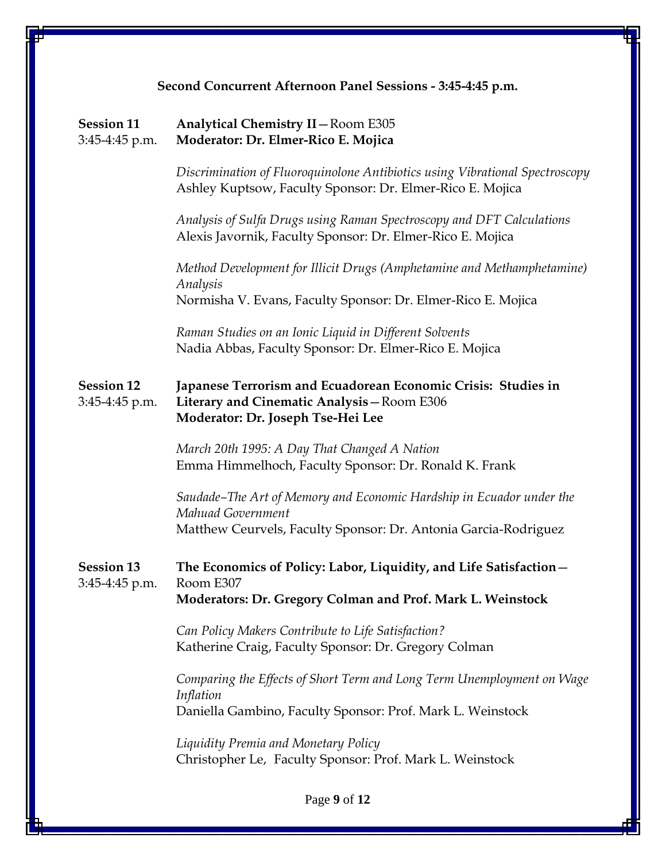| Second Concurrent Afternoon Panel Sessions - 3:45-4:45 p.m. |                                                                                                                                                              |
|-------------------------------------------------------------|--------------------------------------------------------------------------------------------------------------------------------------------------------------|
| <b>Session 11</b><br>3:45-4:45 p.m.                         | Analytical Chemistry II-Room E305<br>Moderator: Dr. Elmer-Rico E. Mojica                                                                                     |
|                                                             | Discrimination of Fluoroquinolone Antibiotics using Vibrational Spectroscopy<br>Ashley Kuptsow, Faculty Sponsor: Dr. Elmer-Rico E. Mojica                    |
|                                                             | Analysis of Sulfa Drugs using Raman Spectroscopy and DFT Calculations<br>Alexis Javornik, Faculty Sponsor: Dr. Elmer-Rico E. Mojica                          |
|                                                             | Method Development for Illicit Drugs (Amphetamine and Methamphetamine)<br>Analysis                                                                           |
|                                                             | Normisha V. Evans, Faculty Sponsor: Dr. Elmer-Rico E. Mojica                                                                                                 |
|                                                             | Raman Studies on an Ionic Liquid in Different Solvents<br>Nadia Abbas, Faculty Sponsor: Dr. Elmer-Rico E. Mojica                                             |
| <b>Session 12</b><br>3:45-4:45 p.m.                         | Japanese Terrorism and Ecuadorean Economic Crisis: Studies in<br>Literary and Cinematic Analysis-Room E306<br>Moderator: Dr. Joseph Tse-Hei Lee              |
|                                                             | March 20th 1995: A Day That Changed A Nation<br>Emma Himmelhoch, Faculty Sponsor: Dr. Ronald K. Frank                                                        |
|                                                             | Saudade–The Art of Memory and Economic Hardship in Ecuador under the<br>Mahuad Government<br>Matthew Ceurvels, Faculty Sponsor: Dr. Antonia Garcia-Rodriguez |
| <b>Session 13</b><br>3:45-4:45 p.m.                         | The Economics of Policy: Labor, Liquidity, and Life Satisfaction-<br>Room E307<br>Moderators: Dr. Gregory Colman and Prof. Mark L. Weinstock                 |
|                                                             | Can Policy Makers Contribute to Life Satisfaction?<br>Katherine Craig, Faculty Sponsor: Dr. Gregory Colman                                                   |
|                                                             | Comparing the Effects of Short Term and Long Term Unemployment on Wage<br>Inflation<br>Daniella Gambino, Faculty Sponsor: Prof. Mark L. Weinstock            |
|                                                             | Liquidity Premia and Monetary Policy<br>Christopher Le, Faculty Sponsor: Prof. Mark L. Weinstock                                                             |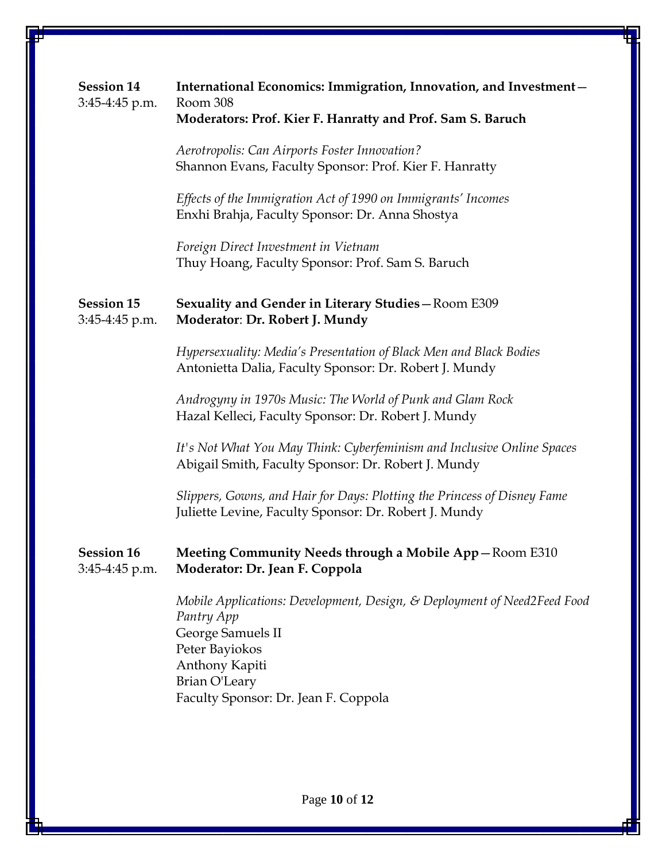| <b>Session 14</b><br>3:45-4:45 p.m.   | International Economics: Immigration, Innovation, and Investment-<br>Room 308<br>Moderators: Prof. Kier F. Hanratty and Prof. Sam S. Baruch                                                              |
|---------------------------------------|----------------------------------------------------------------------------------------------------------------------------------------------------------------------------------------------------------|
|                                       | Aerotropolis: Can Airports Foster Innovation?<br>Shannon Evans, Faculty Sponsor: Prof. Kier F. Hanratty                                                                                                  |
|                                       | Effects of the Immigration Act of 1990 on Immigrants' Incomes<br>Enxhi Brahja, Faculty Sponsor: Dr. Anna Shostya                                                                                         |
|                                       | Foreign Direct Investment in Vietnam<br>Thuy Hoang, Faculty Sponsor: Prof. Sam S. Baruch                                                                                                                 |
| <b>Session 15</b><br>3:45-4:45 p.m.   | Sexuality and Gender in Literary Studies-Room E309<br>Moderator: Dr. Robert J. Mundy                                                                                                                     |
|                                       | Hypersexuality: Media's Presentation of Black Men and Black Bodies<br>Antonietta Dalia, Faculty Sponsor: Dr. Robert J. Mundy                                                                             |
|                                       | Androgyny in 1970s Music: The World of Punk and Glam Rock<br>Hazal Kelleci, Faculty Sponsor: Dr. Robert J. Mundy                                                                                         |
|                                       | It's Not What You May Think: Cyberfeminism and Inclusive Online Spaces<br>Abigail Smith, Faculty Sponsor: Dr. Robert J. Mundy                                                                            |
|                                       | Slippers, Gowns, and Hair for Days: Plotting the Princess of Disney Fame<br>Juliette Levine, Faculty Sponsor: Dr. Robert J. Mundy                                                                        |
| <b>Session 16</b><br>$3:45-4:45$ p.m. | Meeting Community Needs through a Mobile App-Room E310<br>Moderator: Dr. Jean F. Coppola                                                                                                                 |
|                                       | Mobile Applications: Development, Design, & Deployment of Need2Feed Food<br>Pantry App<br>George Samuels II<br>Peter Bayiokos<br>Anthony Kapiti<br>Brian O'Leary<br>Faculty Sponsor: Dr. Jean F. Coppola |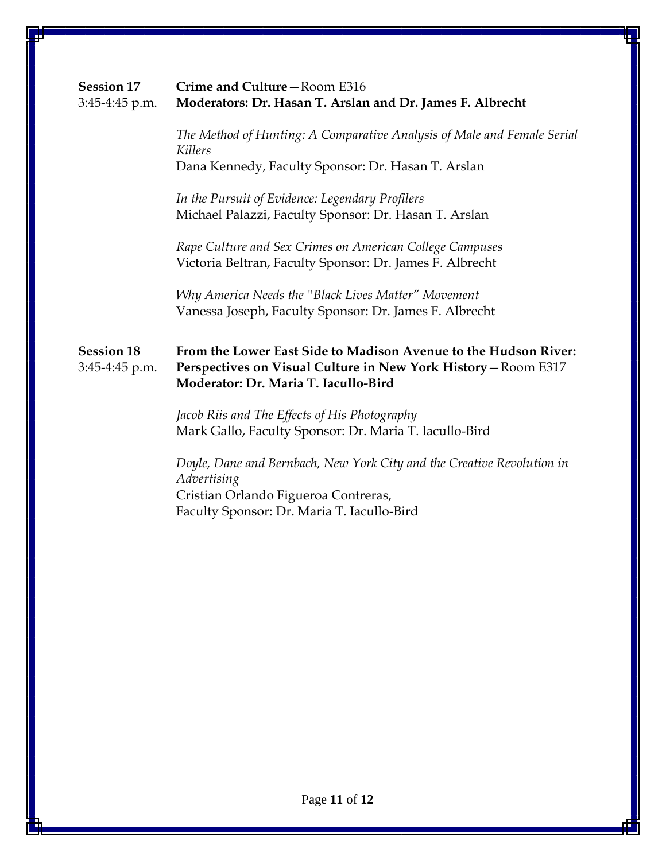| <b>Session 17</b><br>3:45-4:45 p.m. | Crime and Culture-Room E316<br>Moderators: Dr. Hasan T. Arslan and Dr. James F. Albrecht                                                                                    |
|-------------------------------------|-----------------------------------------------------------------------------------------------------------------------------------------------------------------------------|
|                                     | The Method of Hunting: A Comparative Analysis of Male and Female Serial<br>Killers<br>Dana Kennedy, Faculty Sponsor: Dr. Hasan T. Arslan                                    |
|                                     | In the Pursuit of Evidence: Legendary Profilers<br>Michael Palazzi, Faculty Sponsor: Dr. Hasan T. Arslan                                                                    |
|                                     | Rape Culture and Sex Crimes on American College Campuses<br>Victoria Beltran, Faculty Sponsor: Dr. James F. Albrecht                                                        |
|                                     | Why America Needs the "Black Lives Matter" Movement<br>Vanessa Joseph, Faculty Sponsor: Dr. James F. Albrecht                                                               |
| <b>Session 18</b><br>3:45-4:45 p.m. | From the Lower East Side to Madison Avenue to the Hudson River:<br>Perspectives on Visual Culture in New York History - Room E317<br>Moderator: Dr. Maria T. Iacullo-Bird   |
|                                     | Jacob Riis and The Effects of His Photography<br>Mark Gallo, Faculty Sponsor: Dr. Maria T. Iacullo-Bird                                                                     |
|                                     | Doyle, Dane and Bernbach, New York City and the Creative Revolution in<br>Advertising<br>Cristian Orlando Figueroa Contreras,<br>Faculty Sponsor: Dr. Maria T. Iacullo-Bird |